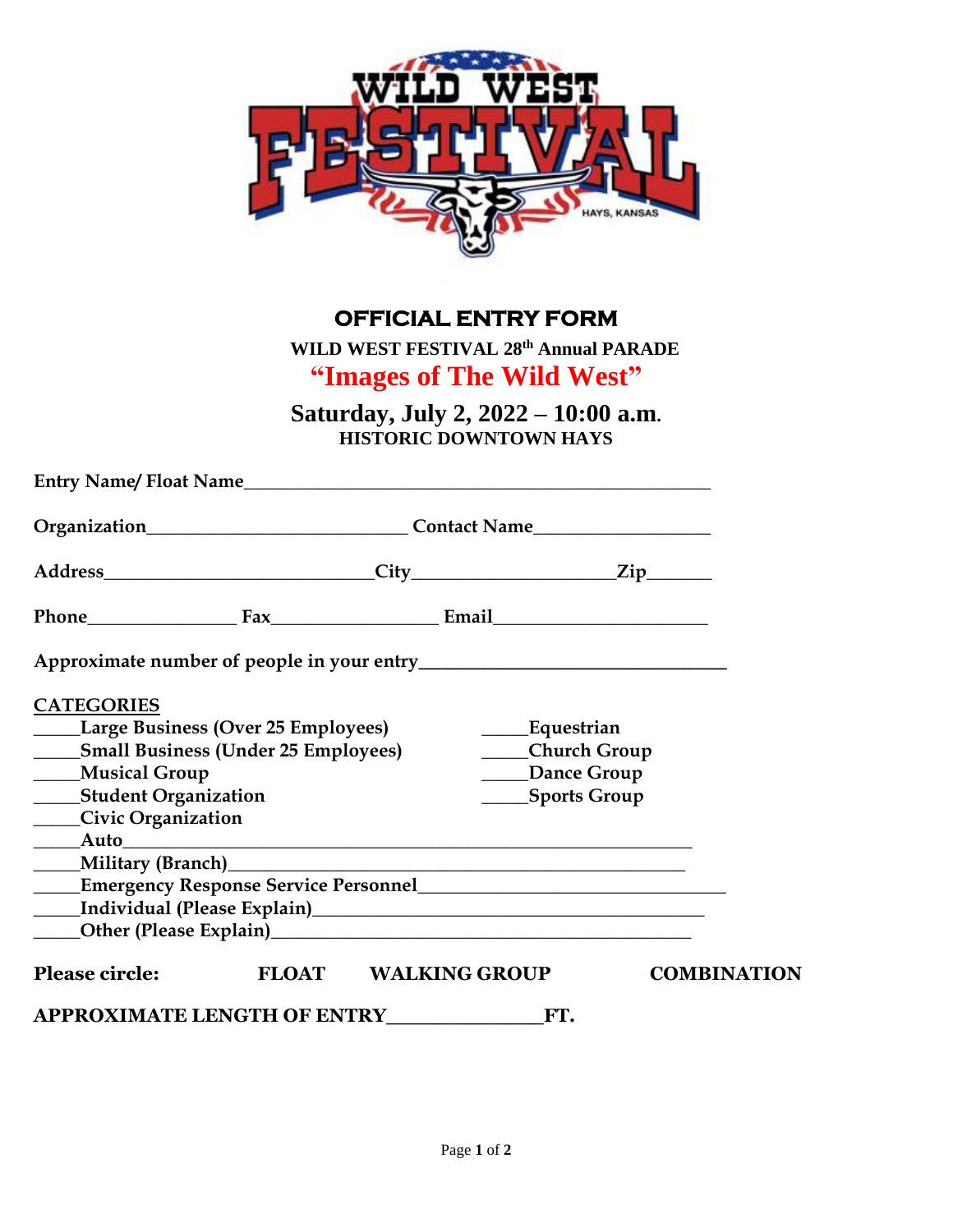

## **OFFICIAL ENTRY FORM**

 **WILD WEST FESTIVAL 28th Annual PARADE**

## **"Images of The Wild West"**

**Saturday, July 2, 2022 – 10:00 a.m. HISTORIC DOWNTOWN HAYS** 

|                                                                                                                                                                                        | Phone Fax Fax Email                                                                                                                                                                                                                |                                                                                |                    |
|----------------------------------------------------------------------------------------------------------------------------------------------------------------------------------------|------------------------------------------------------------------------------------------------------------------------------------------------------------------------------------------------------------------------------------|--------------------------------------------------------------------------------|--------------------|
|                                                                                                                                                                                        |                                                                                                                                                                                                                                    |                                                                                |                    |
| <b>CATEGORIES</b><br><b>Large Business (Over 25 Employees)</b><br>______Small Business (Under 25 Employees)<br>____Musical Group<br>____Student Organization<br>____Civic Organization |                                                                                                                                                                                                                                    | _____Equestrian<br>____Church Group<br><b>Dance Group</b><br>_____Sports Group |                    |
|                                                                                                                                                                                        | <b>Emergency Response Service Personnel Constantine Constantine Constantine Constantine Constantine Constantine Constantine Constantine Constantine Constantine Constantine Constantine Constantine Constantine Constantine Co</b> |                                                                                |                    |
|                                                                                                                                                                                        |                                                                                                                                                                                                                                    |                                                                                |                    |
| <b>Please circle:</b>                                                                                                                                                                  | FLOAT WALKING GROUP                                                                                                                                                                                                                |                                                                                | <b>COMBINATION</b> |
|                                                                                                                                                                                        | APPROXIMATE LENGTH OF ENTRY FT.                                                                                                                                                                                                    |                                                                                |                    |